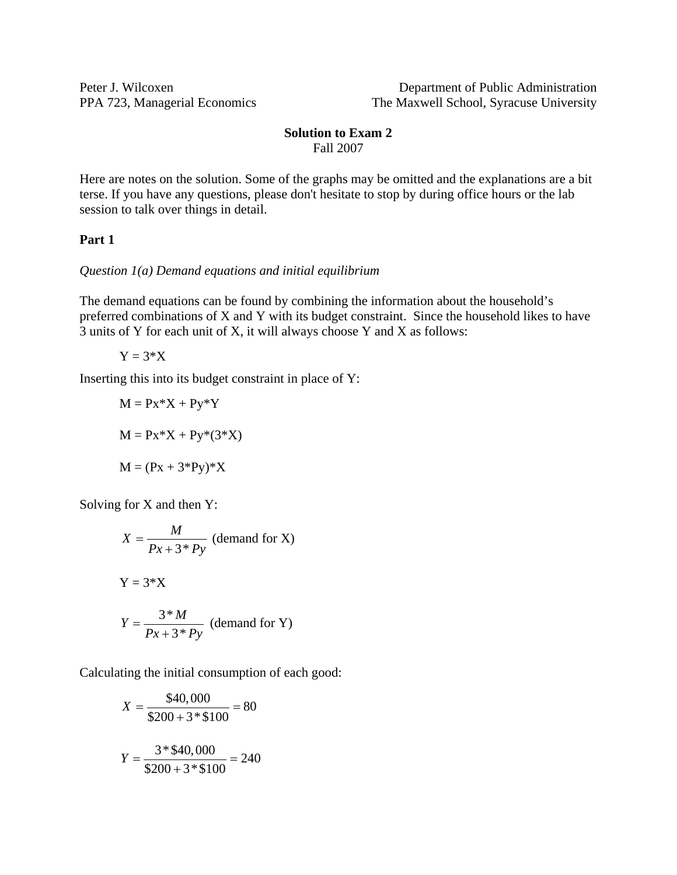Peter J. Wilcoxen Department of Public Administration PPA 723, Managerial Economics The Maxwell School, Syracuse University

#### **Solution to Exam 2**  Fall 2007

Here are notes on the solution. Some of the graphs may be omitted and the explanations are a bit terse. If you have any questions, please don't hesitate to stop by during office hours or the lab session to talk over things in detail.

#### **Part 1**

*Question 1(a) Demand equations and initial equilibrium* 

The demand equations can be found by combining the information about the household's preferred combinations of X and Y with its budget constraint. Since the household likes to have 3 units of Y for each unit of X, it will always choose Y and X as follows:

$$
Y=3*X
$$

Inserting this into its budget constraint in place of Y:

$$
M = Px*X + Py*Y
$$

$$
M = Px*X + Py*(3*X)
$$

$$
M = (Px + 3*Py)*X
$$

Solving for X and then Y:

$$
X = \frac{M}{Px + 3*Py}
$$
 (demand for X)  
 
$$
Y = 3*X
$$
  
 
$$
Y = \frac{3*M}{Px + 3*Py}
$$
 (demand for Y)

Calculating the initial consumption of each good:

$$
X = \frac{$40,000}{$200 + 3* $100} = 80
$$

$$
Y = \frac{3* $40,000}{$200 + 3* $100} = 240
$$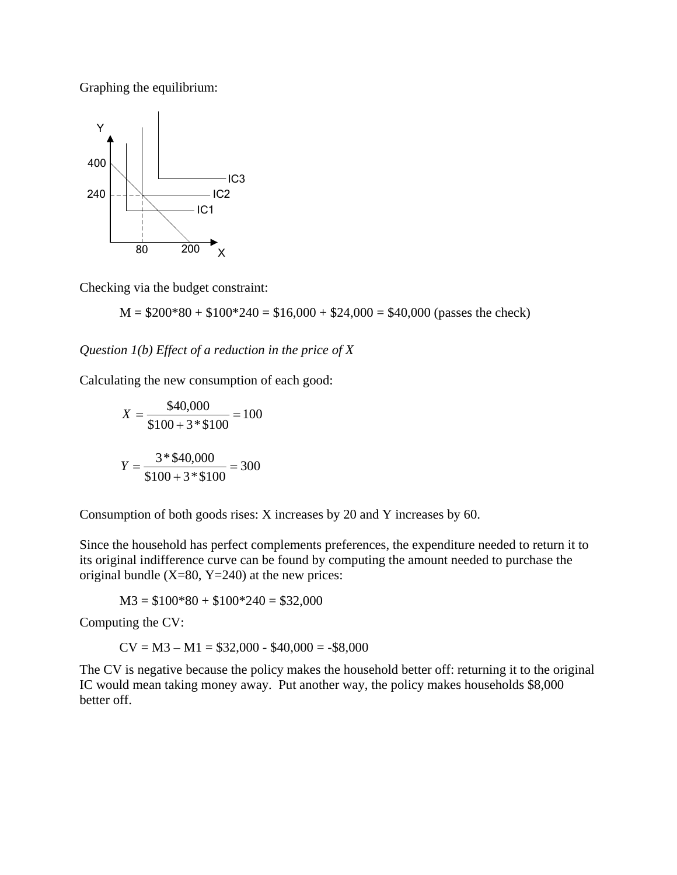Graphing the equilibrium:



Checking via the budget constraint:

 $M = $200*80 + $100*240 = $16,000 + $24,000 = $40,000$  (passes the check)

*Question 1(b) Effect of a reduction in the price of X* 

Calculating the new consumption of each good:

$$
X = \frac{$40,000}{$100 + 3* $100} = 100
$$

$$
Y = \frac{3* $40,000}{$100 + 3* $100} = 300
$$

Consumption of both goods rises: X increases by 20 and Y increases by 60.

Since the household has perfect complements preferences, the expenditure needed to return it to its original indifference curve can be found by computing the amount needed to purchase the original bundle  $(X=80, Y=240)$  at the new prices:

 $M3 = $100*80 + $100*240 = $32,000$ 

Computing the CV:

 $CV = M3 - M1 = $32,000 - $40,000 = - $8,000$ 

The CV is negative because the policy makes the household better off: returning it to the original IC would mean taking money away. Put another way, the policy makes households \$8,000 better off.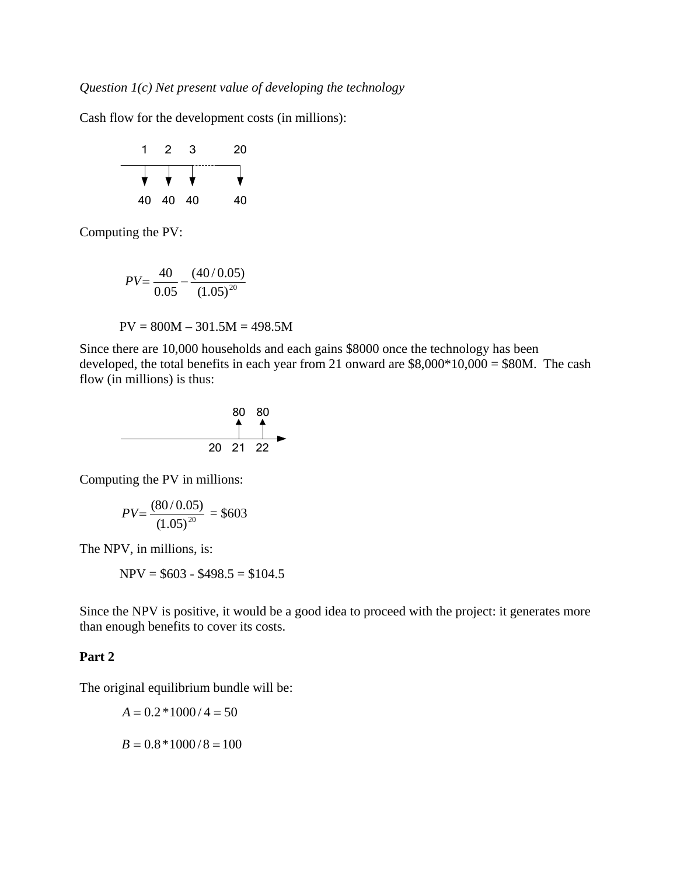Cash flow for the development costs (in millions):



Computing the PV:

$$
PV = \frac{40}{0.05} - \frac{(40/0.05)}{(1.05)^{20}}
$$

$$
PV = 800M - 301.5M = 498.5M
$$

Since there are 10,000 households and each gains \$8000 once the technology has been developed, the total benefits in each year from 21 onward are  $$8,000*10,000 = $80$ M. The cash flow (in millions) is thus:



Computing the PV in millions:

$$
PV = \frac{(80/0.05)}{(1.05)^{20}} = $603
$$

The NPV, in millions, is:

 $NPV = $603 - $498.5 = $104.5$ 

Since the NPV is positive, it would be a good idea to proceed with the project: it generates more than enough benefits to cover its costs.

## **Part 2**

The original equilibrium bundle will be:

$$
A = 0.2 * 1000 / 4 = 50
$$
  

$$
B = 0.8 * 1000 / 8 = 100
$$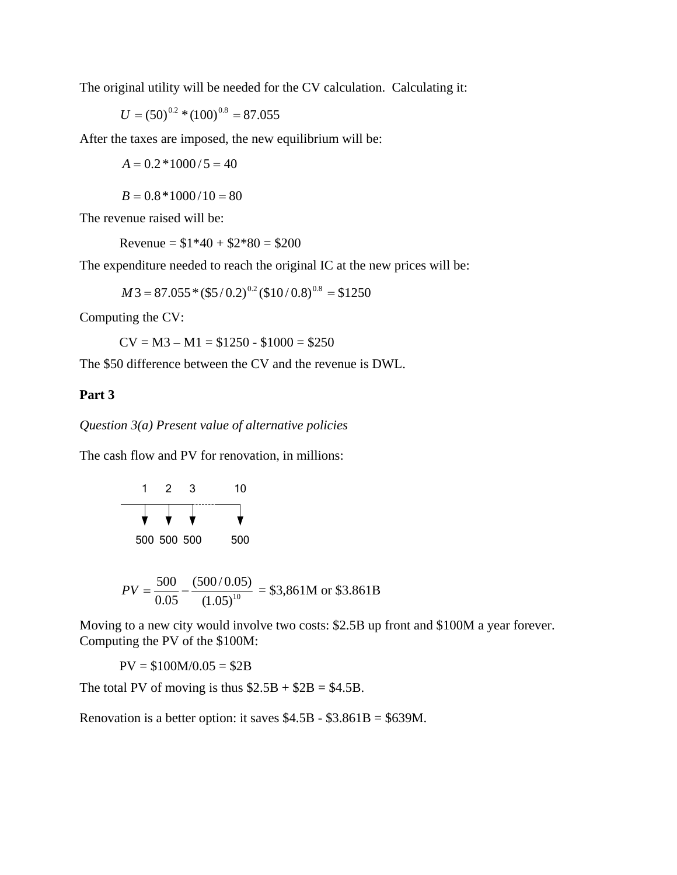The original utility will be needed for the CV calculation. Calculating it:

$$
U = (50)^{0.2} * (100)^{0.8} = 87.055
$$

After the taxes are imposed, the new equilibrium will be:

 $A = 0.2 * 1000 / 5 = 40$ 

 $B = 0.8 * 1000 / 10 = 80$ 

The revenue raised will be:

Revenue =  $$1*40 + $2*80 = $200$ 

The expenditure needed to reach the original IC at the new prices will be:

 $M3 = 87.055 * (55/0.2)^{0.2} (510/0.8)^{0.8} = $1250$ 

Computing the CV:

 $CV = M3 - M1 = $1250 - $1000 = $250$ 

The \$50 difference between the CV and the revenue is DWL.

#### **Part 3**

*Question 3(a) Present value of alternative policies* 

The cash flow and PV for renovation, in millions:

$$
\begin{array}{c|cc}\n1 & 2 & 3 & 10 \\
\hline\n\end{array}
$$
\n500 500 500 500 500

$$
PV = \frac{500}{0.05} - \frac{(500/0.05)}{(1.05)^{10}} = $3,861 \text{M or } $3.861 \text{B}
$$

Moving to a new city would involve two costs: \$2.5B up front and \$100M a year forever. Computing the PV of the \$100M:

 $PV = $100M/0.05 = $2B$ 

The total PV of moving is thus  $$2.5B + $2B = $4.5B$ .

Renovation is a better option: it saves \$4.5B - \$3.861B = \$639M.